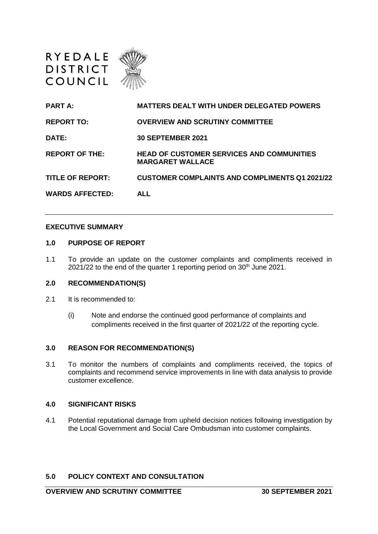

| <b>PART A:</b>          | <b>MATTERS DEALT WITH UNDER DELEGATED POWERS</b>                            |
|-------------------------|-----------------------------------------------------------------------------|
| <b>REPORT TO:</b>       | <b>OVERVIEW AND SCRUTINY COMMITTEE</b>                                      |
| DATE:                   | <b>30 SEPTEMBER 2021</b>                                                    |
| <b>REPORT OF THE:</b>   | <b>HEAD OF CUSTOMER SERVICES AND COMMUNITIES</b><br><b>MARGARET WALLACE</b> |
| <b>TITLE OF REPORT:</b> | <b>CUSTOMER COMPLAINTS AND COMPLIMENTS Q1 2021/22</b>                       |
| <b>WARDS AFFECTED:</b>  | <b>ALL</b>                                                                  |

#### **EXECUTIVE SUMMARY**

#### **1.0 PURPOSE OF REPORT**

1.1 To provide an update on the customer complaints and compliments received in  $2021/22$  to the end of the quarter 1 reporting period on  $30<sup>th</sup>$  June 2021.

### **2.0 RECOMMENDATION(S)**

- 2.1 It is recommended to:
	- (i) Note and endorse the continued good performance of complaints and compliments received in the first quarter of 2021/22 of the reporting cycle.

### **3.0 REASON FOR RECOMMENDATION(S)**

3.1 To monitor the numbers of complaints and compliments received, the topics of complaints and recommend service improvements in line with data analysis to provide customer excellence.

### **4.0 SIGNIFICANT RISKS**

4.1 Potential reputational damage from upheld decision notices following investigation by the Local Government and Social Care Ombudsman into customer complaints.

### **5.0 POLICY CONTEXT AND CONSULTATION**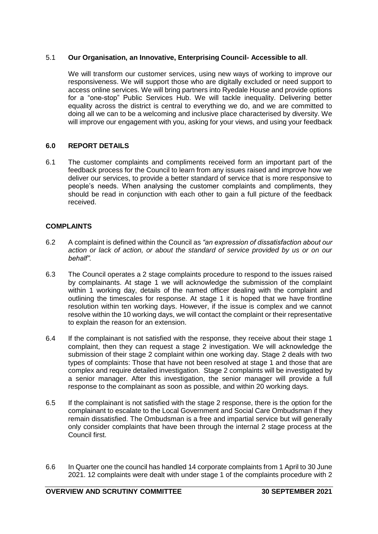## 5.1 **Our Organisation, an Innovative, Enterprising Council- Accessible to all**.

We will transform our customer services, using new ways of working to improve our responsiveness. We will support those who are digitally excluded or need support to access online services. We will bring partners into Ryedale House and provide options for a "one-stop" Public Services Hub. We will tackle inequality. Delivering better equality across the district is central to everything we do, and we are committed to doing all we can to be a welcoming and inclusive place characterised by diversity. We will improve our engagement with you, asking for your views, and using your feedback

## **6.0 REPORT DETAILS**

6.1 The customer complaints and compliments received form an important part of the feedback process for the Council to learn from any issues raised and improve how we deliver our services, to provide a better standard of service that is more responsive to people's needs. When analysing the customer complaints and compliments, they should be read in conjunction with each other to gain a full picture of the feedback received.

## **COMPLAINTS**

- 6.2 A complaint is defined within the Council as *"an expression of dissatisfaction about our action or lack of action, or about the standard of service provided by us or on our behalf".*
- 6.3 The Council operates a 2 stage complaints procedure to respond to the issues raised by complainants. At stage 1 we will acknowledge the submission of the complaint within 1 working day, details of the named officer dealing with the complaint and outlining the timescales for response. At stage 1 it is hoped that we have frontline resolution within ten working days. However, if the issue is complex and we cannot resolve within the 10 working days, we will contact the complaint or their representative to explain the reason for an extension.
- 6.4 If the complainant is not satisfied with the response, they receive about their stage 1 complaint, then they can request a stage 2 investigation. We will acknowledge the submission of their stage 2 complaint within one working day. Stage 2 deals with two types of complaints: Those that have not been resolved at stage 1 and those that are complex and require detailed investigation. Stage 2 complaints will be investigated by a senior manager. After this investigation, the senior manager will provide a full response to the complainant as soon as possible, and within 20 working days.
- 6.5 If the complainant is not satisfied with the stage 2 response, there is the option for the complainant to escalate to the Local Government and Social Care Ombudsman if they remain dissatisfied. The Ombudsman is a free and impartial service but will generally only consider complaints that have been through the internal 2 stage process at the Council first.
- 6.6 In Quarter one the council has handled 14 corporate complaints from 1 April to 30 June 2021. 12 complaints were dealt with under stage 1 of the complaints procedure with 2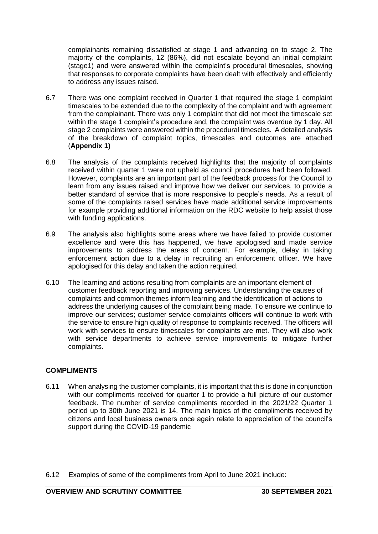complainants remaining dissatisfied at stage 1 and advancing on to stage 2. The majority of the complaints, 12 (86%), did not escalate beyond an initial complaint (stage1) and were answered within the complaint's procedural timescales, showing that responses to corporate complaints have been dealt with effectively and efficiently to address any issues raised.

- 6.7 There was one complaint received in Quarter 1 that required the stage 1 complaint timescales to be extended due to the complexity of the complaint and with agreement from the complainant. There was only 1 complaint that did not meet the timescale set within the stage 1 complaint's procedure and, the complaint was overdue by 1 day. All stage 2 complaints were answered within the procedural timescles. A detailed analysis of the breakdown of complaint topics, timescales and outcomes are attached (**Appendix 1)**
- 6.8 The analysis of the complaints received highlights that the majority of complaints received within quarter 1 were not upheld as council procedures had been followed. However, complaints are an important part of the feedback process for the Council to learn from any issues raised and improve how we deliver our services, to provide a better standard of service that is more responsive to people's needs. As a result of some of the complaints raised services have made additional service improvements for example providing additional information on the RDC website to help assist those with funding applications.
- 6.9 The analysis also highlights some areas where we have failed to provide customer excellence and were this has happened, we have apologised and made service improvements to address the areas of concern. For example, delay in taking enforcement action due to a delay in recruiting an enforcement officer. We have apologised for this delay and taken the action required.
- 6.10 The learning and actions resulting from complaints are an important element of customer feedback reporting and improving services. Understanding the causes of complaints and common themes inform learning and the identification of actions to address the underlying causes of the complaint being made. To ensure we continue to improve our services; customer service complaints officers will continue to work with the service to ensure high quality of response to complaints received. The officers will work with services to ensure timescales for complaints are met. They will also work with service departments to achieve service improvements to mitigate further complaints.

# **COMPLIMENTS**

- 6.11 When analysing the customer complaints, it is important that this is done in conjunction with our compliments received for quarter 1 to provide a full picture of our customer feedback. The number of service compliments recorded in the 2021/22 Quarter 1 period up to 30th June 2021 is 14. The main topics of the compliments received by citizens and local business owners once again relate to appreciation of the council's support during the COVID-19 pandemic
- 6.12 Examples of some of the compliments from April to June 2021 include: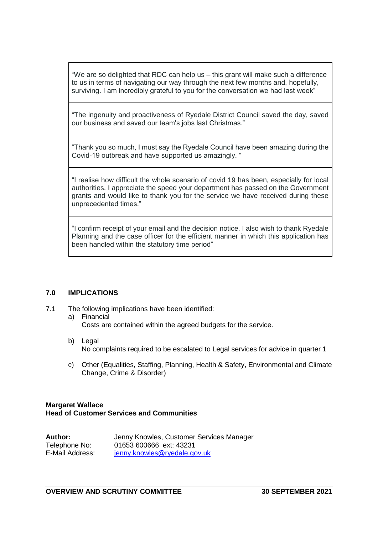"We are so delighted that RDC can help us – this grant will make such a difference to us in terms of navigating our way through the next few months and, hopefully, surviving. I am incredibly grateful to you for the conversation we had last week"

"The ingenuity and proactiveness of Ryedale District Council saved the day, saved our business and saved our team's jobs last Christmas."

"Thank you so much, I must say the Ryedale Council have been amazing during the Covid-19 outbreak and have supported us amazingly. "

"I realise how difficult the whole scenario of covid 19 has been, especially for local authorities. I appreciate the speed your department has passed on the Government grants and would like to thank you for the service we have received during these unprecedented times."

"I confirm receipt of your email and the decision notice. I also wish to thank Ryedale Planning and the case officer for the efficient manner in which this application has been handled within the statutory time period"

### **7.0 IMPLICATIONS**

- 7.1 The following implications have been identified:
	- a) Financial Costs are contained within the agreed budgets for the service.
	- b) Legal No complaints required to be escalated to Legal services for advice in quarter 1
	- c) Other (Equalities, Staffing, Planning, Health & Safety, Environmental and Climate Change, Crime & Disorder)

### **Margaret Wallace Head of Customer Services and Communities**

| Author:         | Jenny Knowles, Customer Services Manager |
|-----------------|------------------------------------------|
| Telephone No:   | 01653 600666 ext: 43231                  |
| E-Mail Address: | jenny.knowles@ryedale.gov.uk             |